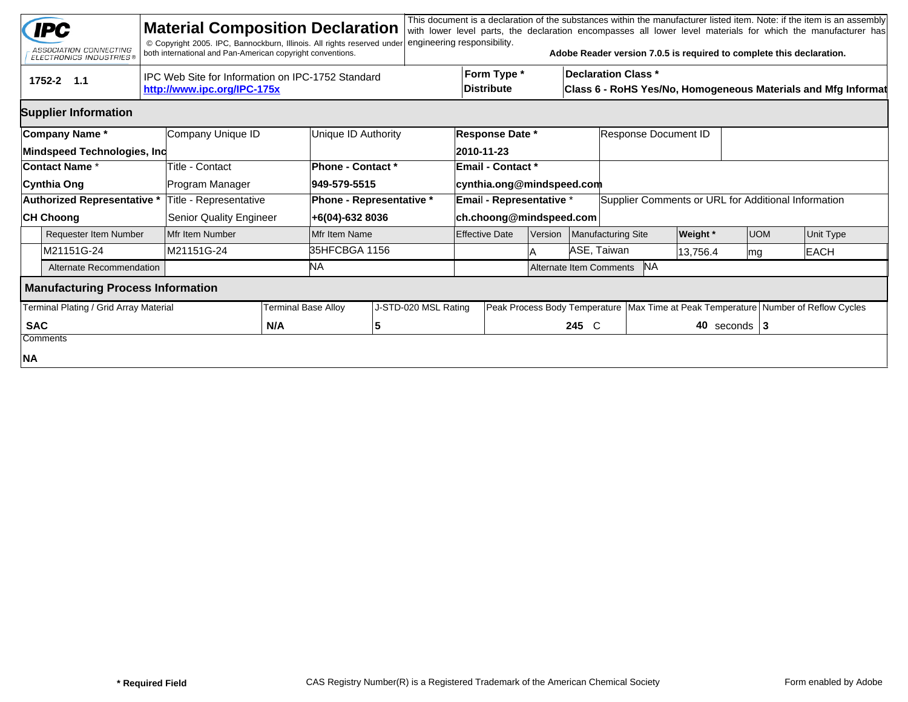|                                        | <b>IPC</b><br>ASSOCIATION CONNECTING<br><b>ELECTRONICS INDUSTRIES®</b> |  | <b>Material Composition Declaration</b><br>© Copyright 2005. IPC, Bannockburn, Illinois. All rights reserved under<br>both international and Pan-American copyright conventions. |                            |                                                                                                                                 | engineering responsibility. |                               |                                                              |                                      |                                                      |                                                     | Adobe Reader version 7.0.5 is required to complete this declaration. |            |             | This document is a declaration of the substances within the manufacturer listed item. Note: if the item is an assembly<br>with lower level parts, the declaration encompasses all lower level materials for which the manufacturer has |  |
|----------------------------------------|------------------------------------------------------------------------|--|----------------------------------------------------------------------------------------------------------------------------------------------------------------------------------|----------------------------|---------------------------------------------------------------------------------------------------------------------------------|-----------------------------|-------------------------------|--------------------------------------------------------------|--------------------------------------|------------------------------------------------------|-----------------------------------------------------|----------------------------------------------------------------------|------------|-------------|----------------------------------------------------------------------------------------------------------------------------------------------------------------------------------------------------------------------------------------|--|
|                                        | 1752-2 1.1                                                             |  | IPC Web Site for Information on IPC-1752 Standard<br>http://www.ipc.org/IPC-175x                                                                                                 |                            | Form Type *<br><b>Declaration Class *</b><br><b>Distribute</b><br>Class 6 - RoHS Yes/No, Homogeneous Materials and Mfg Informat |                             |                               |                                                              |                                      |                                                      |                                                     |                                                                      |            |             |                                                                                                                                                                                                                                        |  |
|                                        | <b>Supplier Information</b>                                            |  |                                                                                                                                                                                  |                            |                                                                                                                                 |                             |                               |                                                              |                                      |                                                      |                                                     |                                                                      |            |             |                                                                                                                                                                                                                                        |  |
| Company Name*<br>Company Unique ID     |                                                                        |  |                                                                                                                                                                                  |                            | Unique ID Authority                                                                                                             |                             |                               | <b>Response Date *</b><br>Response Document ID<br>2010-11-23 |                                      |                                                      |                                                     |                                                                      |            |             |                                                                                                                                                                                                                                        |  |
|                                        | Mindspeed Technologies, Inc<br><b>Contact Name *</b>                   |  | Title - Contact                                                                                                                                                                  |                            | Phone - Contact *                                                                                                               |                             |                               | <b>Email - Contact *</b>                                     |                                      |                                                      |                                                     |                                                                      |            |             |                                                                                                                                                                                                                                        |  |
|                                        | Cynthia Ong                                                            |  | Program Manager                                                                                                                                                                  |                            | 949-579-5515                                                                                                                    |                             |                               | cynthia.ong@mindspeed.com                                    |                                      |                                                      |                                                     |                                                                      |            |             |                                                                                                                                                                                                                                        |  |
|                                        | <b>Authorized Representative *</b>                                     |  | Title - Representative                                                                                                                                                           |                            | Phone - Representative *                                                                                                        |                             |                               | Email - Representative *                                     |                                      |                                                      | Supplier Comments or URL for Additional Information |                                                                      |            |             |                                                                                                                                                                                                                                        |  |
|                                        | <b>CH Choong</b>                                                       |  | <b>Senior Quality Engineer</b>                                                                                                                                                   |                            | +6(04)-632 8036                                                                                                                 |                             |                               | ch.choong@mindspeed.com                                      |                                      |                                                      |                                                     |                                                                      |            |             |                                                                                                                                                                                                                                        |  |
|                                        | <b>Requester Item Number</b>                                           |  | Mfr Item Number                                                                                                                                                                  |                            | Mfr Item Name                                                                                                                   |                             |                               | <b>Effective Date</b>                                        | <b>Version</b>                       | Manufacturing Site                                   |                                                     | <b>Weight</b> *                                                      | <b>UOM</b> |             | Unit Type                                                                                                                                                                                                                              |  |
|                                        | M21151G-24                                                             |  | M21151G-24                                                                                                                                                                       |                            | 35HFCBGA 1156                                                                                                                   |                             |                               |                                                              | ASE, Taiwan                          |                                                      | 13,756.4                                            | mg                                                                   |            | <b>EACH</b> |                                                                                                                                                                                                                                        |  |
|                                        | Alternate Recommendation                                               |  |                                                                                                                                                                                  |                            | ΝA                                                                                                                              |                             |                               |                                                              | <b>NA</b><br>Alternate Item Comments |                                                      |                                                     |                                                                      |            |             |                                                                                                                                                                                                                                        |  |
|                                        | <b>Manufacturing Process Information</b>                               |  |                                                                                                                                                                                  |                            |                                                                                                                                 |                             |                               |                                                              |                                      |                                                      |                                                     |                                                                      |            |             |                                                                                                                                                                                                                                        |  |
| Terminal Plating / Grid Array Material |                                                                        |  |                                                                                                                                                                                  | <b>Terminal Base Alloy</b> |                                                                                                                                 | J-STD-020 MSL Rating        | Peak Process Body Temperature |                                                              |                                      | Max Time at Peak Temperature Number of Reflow Cycles |                                                     |                                                                      |            |             |                                                                                                                                                                                                                                        |  |
| <b>SAC</b>                             |                                                                        |  | N/A                                                                                                                                                                              |                            | 5                                                                                                                               |                             |                               |                                                              |                                      | 245 C                                                | 40 seconds $ 3 $                                    |                                                                      |            |             |                                                                                                                                                                                                                                        |  |
|                                        | Comments                                                               |  |                                                                                                                                                                                  |                            |                                                                                                                                 |                             |                               |                                                              |                                      |                                                      |                                                     |                                                                      |            |             |                                                                                                                                                                                                                                        |  |
| NA                                     |                                                                        |  |                                                                                                                                                                                  |                            |                                                                                                                                 |                             |                               |                                                              |                                      |                                                      |                                                     |                                                                      |            |             |                                                                                                                                                                                                                                        |  |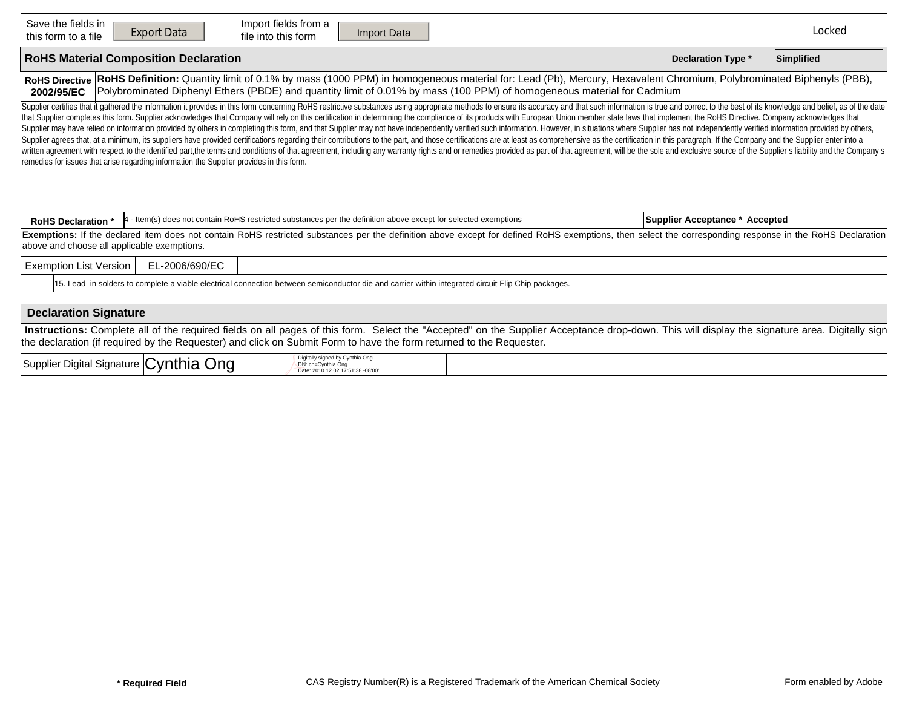| Save the fields in<br>Import fields from a<br><b>Export Data</b><br>Import Data<br>file into this form<br>this form to a file                                                                                                                                                                                                                                                                                                                                                                                                                                                                                                                                                                                                                                                                                                                                                                                                                                                                                                                                                                                                                                                                                                                                     |                                | Locked     |  |  |  |  |  |  |  |  |
|-------------------------------------------------------------------------------------------------------------------------------------------------------------------------------------------------------------------------------------------------------------------------------------------------------------------------------------------------------------------------------------------------------------------------------------------------------------------------------------------------------------------------------------------------------------------------------------------------------------------------------------------------------------------------------------------------------------------------------------------------------------------------------------------------------------------------------------------------------------------------------------------------------------------------------------------------------------------------------------------------------------------------------------------------------------------------------------------------------------------------------------------------------------------------------------------------------------------------------------------------------------------|--------------------------------|------------|--|--|--|--|--|--|--|--|
| <b>RoHS Material Composition Declaration</b>                                                                                                                                                                                                                                                                                                                                                                                                                                                                                                                                                                                                                                                                                                                                                                                                                                                                                                                                                                                                                                                                                                                                                                                                                      | <b>Declaration Type *</b>      | Simplified |  |  |  |  |  |  |  |  |
| RoHS Definition: Quantity limit of 0.1% by mass (1000 PPM) in homogeneous material for: Lead (Pb), Mercury, Hexavalent Chromium, Polybrominated Biphenyls (PBB),<br><b>RoHS Directive</b><br>Polybrominated Diphenyl Ethers (PBDE) and quantity limit of 0.01% by mass (100 PPM) of homogeneous material for Cadmium<br>2002/95/EC                                                                                                                                                                                                                                                                                                                                                                                                                                                                                                                                                                                                                                                                                                                                                                                                                                                                                                                                |                                |            |  |  |  |  |  |  |  |  |
| Supplier certifies that it gathered the information it provides in this form concerning RoHS restrictive substances using appropriate methods to ensure its accuracy and that such information is true and correct to the best<br>that Supplier completes this form. Supplier acknowledges that Company will rely on this certification in determining the compliance of its products with European Union member state laws that implement the RoHS Directive. C<br>Supplier may have relied on information provided by others in completing this form, and that Supplier may not have independently verified such information. However, in situations where Supplier has not independently verifi<br>Supplier agrees that, at a minimum, its suppliers have provided certifications regarding their contributions to the part, and those certifications are at least as comprehensive as the certification in this paragraph. If th<br>written agreement with respect to the identified part, the terms and conditions of that agreement, including any warranty rights and or remedies provided as part of that agreement, will be the sole and exclusive source of<br>remedies for issues that arise regarding information the Supplier provides in this form. |                                |            |  |  |  |  |  |  |  |  |
| 4 - Item(s) does not contain RoHS restricted substances per the definition above except for selected exemptions<br><b>RoHS Declaration *</b>                                                                                                                                                                                                                                                                                                                                                                                                                                                                                                                                                                                                                                                                                                                                                                                                                                                                                                                                                                                                                                                                                                                      | Supplier Acceptance * Accepted |            |  |  |  |  |  |  |  |  |
| Exemptions: If the declared item does not contain RoHS restricted substances per the definition above except for defined RoHS exemptions, then select the corresponding response in the RoHS Declaration<br>above and choose all applicable exemptions.                                                                                                                                                                                                                                                                                                                                                                                                                                                                                                                                                                                                                                                                                                                                                                                                                                                                                                                                                                                                           |                                |            |  |  |  |  |  |  |  |  |
| <b>Exemption List Version</b><br>EL-2006/690/EC                                                                                                                                                                                                                                                                                                                                                                                                                                                                                                                                                                                                                                                                                                                                                                                                                                                                                                                                                                                                                                                                                                                                                                                                                   |                                |            |  |  |  |  |  |  |  |  |
| 15. Lead in solders to complete a viable electrical connection between semiconductor die and carrier within integrated circuit Flip Chip packages.                                                                                                                                                                                                                                                                                                                                                                                                                                                                                                                                                                                                                                                                                                                                                                                                                                                                                                                                                                                                                                                                                                                |                                |            |  |  |  |  |  |  |  |  |
|                                                                                                                                                                                                                                                                                                                                                                                                                                                                                                                                                                                                                                                                                                                                                                                                                                                                                                                                                                                                                                                                                                                                                                                                                                                                   |                                |            |  |  |  |  |  |  |  |  |
| <b>Declaration Signature</b>                                                                                                                                                                                                                                                                                                                                                                                                                                                                                                                                                                                                                                                                                                                                                                                                                                                                                                                                                                                                                                                                                                                                                                                                                                      |                                |            |  |  |  |  |  |  |  |  |
| Instructions: Complete all of the required fields on all pages of this form. Select the "Accepted" on the Supplier Acceptance drop-down. This will display the signature area. Digitally sign<br>the declaration (if required by the Requester) and click on Submit Form to have the form returned to the Requester.                                                                                                                                                                                                                                                                                                                                                                                                                                                                                                                                                                                                                                                                                                                                                                                                                                                                                                                                              |                                |            |  |  |  |  |  |  |  |  |
| Digitally signed by Cynthia Ong<br>.                                                                                                                                                                                                                                                                                                                                                                                                                                                                                                                                                                                                                                                                                                                                                                                                                                                                                                                                                                                                                                                                                                                                                                                                                              |                                |            |  |  |  |  |  |  |  |  |

| Supplier Digital Signature Cynthia<br>Jna | v signed by Cynthia Ong<br>ii≏ ∩na<br>: 2010.12.02 17:51:38 -08'00' |  |
|-------------------------------------------|---------------------------------------------------------------------|--|
|-------------------------------------------|---------------------------------------------------------------------|--|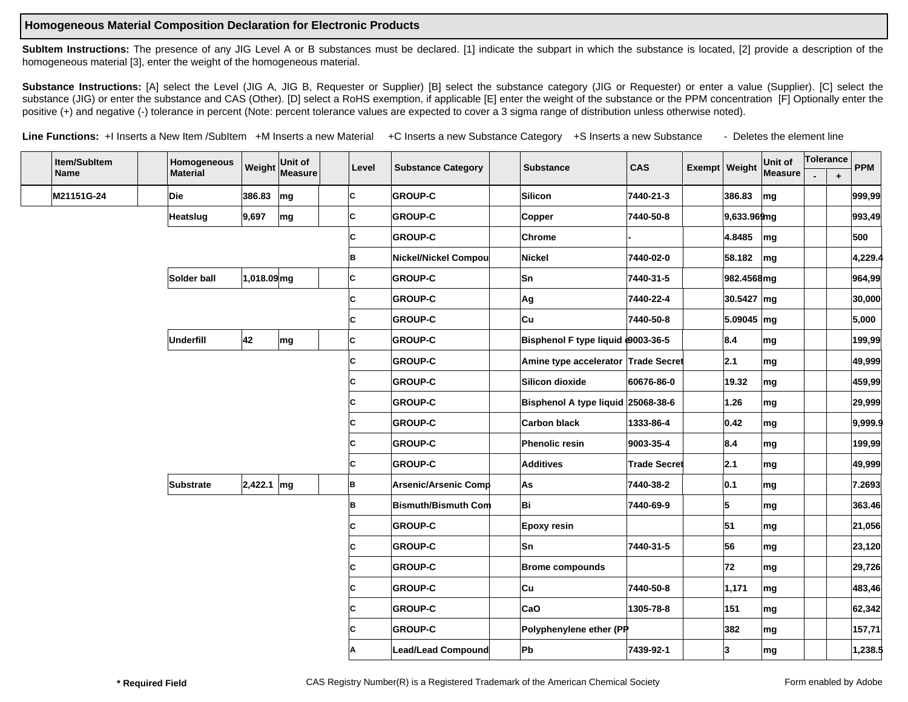## **Homogeneous Material Composition Declaration for Electronic Products**

SubItem Instructions: The presence of any JIG Level A or B substances must be declared. [1] indicate the subpart in which the substance is located, [2] provide a description of the homogeneous material [3], enter the weight of the homogeneous material.

Substance Instructions: [A] select the Level (JIG A, JIG B, Requester or Supplier) [B] select the substance category (JIG or Requester) or enter a value (Supplier). [C] select the substance (JIG) or enter the substance and CAS (Other). [D] select a RoHS exemption, if applicable [E] enter the weight of the substance or the PPM concentration [F] Optionally enter the positive (+) and negative (-) tolerance in percent (Note: percent tolerance values are expected to cover a 3 sigma range of distribution unless otherwise noted).

Line Functions: +I Inserts a New Item /SubItem +M Inserts a new Material +C Inserts a new Substance Category +S Inserts a new Substance - Deletes the element line

| Item/SubItem |             |          | Homogeneous      |              | Unit of        | Level          | <b>Substance Category</b>   | <b>Substance</b>                    | <b>CAS</b>          | $Exempt$ Weight | Unit of                  | Tolerance |           | <b>PPM</b> |
|--------------|-------------|----------|------------------|--------------|----------------|----------------|-----------------------------|-------------------------------------|---------------------|-----------------|--------------------------|-----------|-----------|------------|
|              | <b>Name</b> |          | <b>Material</b>  |              | Weight Measure |                |                             |                                     |                     |                 | Measure                  |           | $\ddot{}$ |            |
|              | M21151G-24  |          | Die              | 386.83       | mg             | lc.            | <b>GROUP-C</b>              | Silicon                             | 7440-21-3           | 386.83          | mg                       |           |           | 999,99     |
|              |             | Heatslug | 9,697            | mg           | c              | <b>GROUP-C</b> | Copper                      | 7440-50-8                           | 9,633.969mg         |                 |                          |           | 993,49    |            |
|              |             |          |                  |              |                | c              | <b>GROUP-C</b>              | Chrome                              |                     | 4.8485          | mg                       |           |           | 500        |
|              |             |          |                  |              |                | B              | Nickel/Nickel Compou        | Nickel                              | 7440-02-0           | 58.182          | mg                       |           |           | 4,229.4    |
|              |             |          | Solder ball      | 1,018.09mg   |                | C              | <b>GROUP-C</b>              | Sn                                  | 7440-31-5           | 982.4568mg      |                          |           |           | 964,99     |
|              |             |          |                  |              |                | C              | <b>GROUP-C</b>              | Ag                                  | 7440-22-4           | 30.5427 mg      |                          |           |           | 30,000     |
|              |             |          |                  |              |                | C              | <b>GROUP-C</b>              | ∣Cu                                 | 7440-50-8           | 5.09045 mg      |                          |           |           | 5,000      |
|              |             |          | Underfill        | 42           | mg             | C              | <b>GROUP-C</b>              | Bisphenol F type liquid @003-36-5   |                     | 8.4             | mg                       |           |           | 199,99     |
|              |             |          |                  |              |                | C              | <b>GROUP-C</b>              | Amine type accelerator Trade Secret |                     | 2.1             | ∣mg                      |           |           | 49,999     |
|              |             |          |                  |              |                | C              | <b>GROUP-C</b>              | Silicon dioxide                     | 60676-86-0          | 19.32           | mg                       |           |           | 459,99     |
|              |             |          |                  |              |                | C              | <b>GROUP-C</b>              | Bisphenol A type liquid 25068-38-6  |                     | 1.26            | ∣mg                      |           |           | 29,999     |
|              |             |          |                  |              |                | C              | <b>GROUP-C</b>              | <b>Carbon black</b>                 | 1333-86-4           | 0.42            | mg                       |           |           | 9.999.9    |
|              |             |          |                  |              |                | C              | <b>GROUP-C</b>              | Phenolic resin                      | 9003-35-4           | 8.4             | ∣mg                      |           |           | 199,99     |
|              |             |          |                  |              |                | C              | <b>GROUP-C</b>              | Additives                           | <b>Trade Secret</b> | 2.1             | mg                       |           |           | 49,999     |
|              |             |          | <b>Substrate</b> | $2,422.1$ mg |                | B              | <b>Arsenic/Arsenic Comp</b> | As                                  | 7440-38-2           | 0.1             | mg                       |           |           | 7.2693     |
|              |             |          |                  |              |                | B              | Bismuth/Bismuth Com         | lBi                                 | 7440-69-9           | 5               | mg                       |           |           | 363.46     |
|              |             |          |                  |              |                | C              | <b>GROUP-C</b>              | <b>Epoxy resin</b>                  |                     | 51              | ∣mg                      |           |           | 21,056     |
|              |             |          |                  |              |                | c              | <b>GROUP-C</b>              | Sn.                                 | 7440-31-5           | 56              | mg                       |           |           | 23,120     |
|              |             |          |                  |              |                | C              | <b>GROUP-C</b>              | <b>Brome compounds</b>              |                     | 72              | mg                       |           |           | 29,726     |
|              |             |          |                  |              |                | C              | <b>GROUP-C</b>              | ∣Cu                                 | 7440-50-8           | 1,171           | mg                       |           |           | 483,46     |
|              |             |          |                  |              |                | C              | <b>GROUP-C</b>              | CaO                                 | 1305-78-8           | 151             | mg                       |           |           | 62,342     |
|              |             |          |                  |              |                | C              | <b>GROUP-C</b>              | Polyphenylene ether (PP             |                     | 382             | $\mathsf{Im} \mathsf{g}$ |           |           | 157,71     |
|              |             |          |                  |              |                |                | Lead/Lead Compound          | Pb                                  | 7439-92-1           | 3               | ∣mg                      |           |           | 1,238.5    |